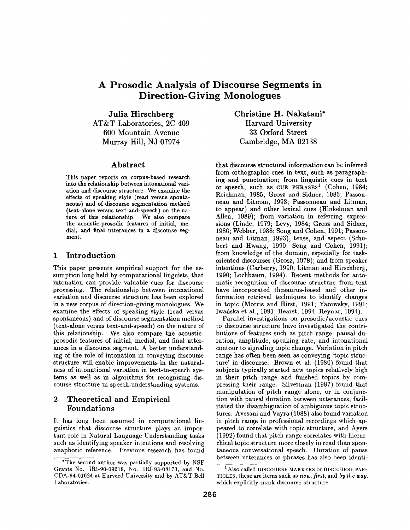# **A Prosodic Analysis of Discourse Segments in Direction- Giving Monologues**

**Julia Hirschberg**  AT&T Laboratories, 2C-409 600 Mountain Avenue Murray Hill, NJ 07974

### Abstract

This **paper reports on** corpus-based research **into the relationship between intonational** variation **and discourse structure. We examine** the **effects** of speaking style (read versus **spontaneous) and** of discourse segmentation method **(text-alone** versus text-and-speech) **on the** nature of this relationship. We also **compare**  the acoustic-prosodic features of initial, **medial,** and final utterances in a discourse segment.

# 1 **Introduction**

This paper presents empirical support for the assumption long held by computational linguists, that intonation can provide valuable cues for discourse processing. The relationship between intonational variation and discourse structure has been explored in a new corpus of direction-giving monologues. We examine the effects of speaking style (read versus spontaneous) and of discourse segmentation method (text-alone versus text-and-speech) on the nature of this relationship. We also compare the acousticprosodic features of initial, medial, and final utterances in a discourse segment. A better understanding of the role of intonation in conveying discourse structure will enable improvements in the naturalness of intonational variation in text-to-speech systems as well as in algorithms for recognizing discourse structure in speech-understanding systems.

# 2 Theoretical and Empirical Foundations

It has long been assumed in computational linguistics that discourse structure plays an important role in Natural Language Understanding tasks such as identifying speaker intentions and resolving anaphoric reference. Previous research has found

**Christine H. Nakatani\***  Harvard University 33 Oxford Street Cambridge, MA 02138

that discourse structural information can be inferred from orthographic cues in text, such as paragraphing and punctuation; from linguistic cues in text or speech, such as CUE PHRASES<sup>1</sup> (Cohen, 1984; Reichman, 1985; Grosz and Sidner, 1986; Passonneau and Litman, 1993; Passonneau and Litman, to appear) and other lexical cues (Hinkelman and Allen, 1989); from variation in referring expressions (Linde, 1979; Levy, 1984; Grosz and Sidner, 1986; Webber, 1988; Song and Cohen, 1991; Passonneau and Litman, 1993), tense, and aspect (Schubert and Hwang, 1990; Song and Cohen, 1991); from knowledge of the domain, especially for taskoriented discourses (Grosz, 1978); and from speaker intentions (Carberry, 1990; Litman and Hirschberg, 1990; Lochbaum, 1994). Recent methods for automatic recognition of discourse structure from text have incorporated thesaurus-based and other information retrieval techniques to identify changes in topic (Morris and Hirst, 1991; Yarowsky, 1991; Iwafiska et al., 1991; Hearst, 1994; Reynar, 1994).

Parallel investigations on prosodic/acoustic cues to discourse structure have investigated the contributions of features such as pitch range, pausal duration, amplitude, speaking rate, and intonational contour to signaling topic change. Variation in pitch range has often been seen as conveying 'topic structure' in discourse. Brown et al. (1980) found that subjects typically started new topics relatively high in their pitch range and finished topics by compressing their range. Silverman (1987) found that manipulation of pitch range alone, or in conjunction with pausal duration between utterances, facilitated the disambiguation of ambiguous topic structures. Avesani and Vayra (1988) also found variation in pitch range in professional recordings which appeared to correlate with topic structure, and Ayers (1992) found that pitch range correlates with hierarchical topic structure more closely in read than spontaneous conversational speech. Duration of pause between utterances or phrases has also been identi-

<sup>\*</sup>The second author was partially supported by NSF Grants No. IRI-90-09018, No. IRI-93-08173, and No. CDA-94-01024 at Harvard University and by AT&T Bell Laboratories.

<sup>&</sup>lt;sup>1</sup> Also called DISCOURSE MARKERS or DISCOURSE PAR-TICLES, these are items such as *now, first,* and *by the way,*  which explicitly mark discourse structure.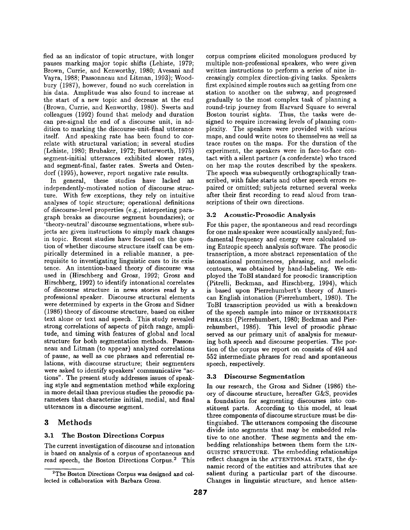fied as an indicator of topic structure, with longer pauses marking major topic shifts (Lehiste, 1979; Brown, Currie, and Kenworthy, 1980; Avesani and Vayra, 1988; Passonneau and Litman, 1993); Woodbury (1987), however, found no such correlation in his data. Amplitude was also found to increase at the start of a new topic and decrease at the end (Brown, Currie, and Kenworthy, 1980). Swerts and colleagues (1992) found that melody and duration can pre-signal the end of a discourse unit, in addition to marking the discourse-unit-final utterance itself. And speaking rate has been found to correlate with structural variation; in several studies (Lehiste, 1980; Brubaker, 1972; Butterworth, 1975) segment-initial utterances exhibited slower rates, and segment-final, faster rates. Swerts and Ostendorf (1995), however, report negative rate results.

In general, these studies have lacked an independently-motivated notion of discourse structure. With few exceptions, they rely on intuitive analyses of topic structure; operational definitions of discourse-level properties (e.g., interpreting paragraph breaks as discourse segment boundaries); or 'theory-neutral' discourse segmentations, where subjects are given instructions to simply mark changes in topic. Recent studies have focused on the question of whether discourse structure itself can be empirically determined in a reliable manner, a prerequisite to investigating linguistic cues to its existence. An intention-based theory of discourse was used in (Hirschberg and Grosz, 1992; Grosz and Hirschberg, 1992) to identify intonational correlates of discourse structure in news stories read by a professional speaker. Discourse structural elements were determined by experts in the Grosz and Sidner (1986) theory of discourse structure, based on either text alone or text and speech. This study revealed strong correlations of aspects of pitch range, amplitude, and timing with features of global and local structure for both segmentation methods. Passonneau and Litman (to appear) analyzed correlations of pause, as well as cue phrases and referential relations, with discourse structure; their segmenters were asked to identify speakers' communicative *"ac*tions". The present study addresses issues of speaking style and segmentation method while exploring in more detail than previous studies the prosodic parameters that characterize initial, medial, and final utterances in a discourse segment.

# 3 Methods

## 3.1 The Boston Directions Corpus

The current investigation of discourse and intonation is based on analysis of a corpus of spontaneous and read speech, the Boston Directions Corpus.<sup>2</sup> This corpus comprises elicited monologues produced by multiple non-professional speakers, who were given written instructions to perform a series of nine increasingly complex direction-giving tasks. Speakers first explained simple routes such as getting from one station to another on the subway, and progressed gradually to the most complex task of planning a round-trip journey from Harvard Square to several Boston tourist sights. Thus, the tasks were designed to require increasing levels of planning complexity. The speakers were provided with various maps, and could write notes to themselves as well as trace routes on the maps. For the duration of the experiment, the speakers were in face-to-face contact with a silent partner (a confederate) who traced on her map the routes described by the speakers. The speech was subsequently orthographically transcribed, with false starts and other speech errors repaired or omitted; subjects returned several weeks after their first recording to read aloud from transcriptions of their own directions.

#### 3.2 Acoustic-Prosodic Analysis

For this paper, the spontaneous and read recordings for one male speaker were acoustically analyzed; fundamental frequency and energy were calculated using Entropic speech analysis software. The prosodic transcription, a more abstract representation of the intonational prominences, phrasing, and melodic contours, was obtained by hand-labeling. We employed the ToBI standard for prosodic transcription (Pitrelli, Beckman, and Hirschberg, 1994), which is based upon Pierrehumbert's theory of American English intonation (Pierrehumbert, 1980). The ToBI transcription provided us with a breakdown of the speech sample into minor or INTERMEDIATE PHRASES (Pierrehumbert, 1980; Beckman and Pierrehumbert, 1986). This level of prosodic phrase served as our primary unit of analysis for measuring both speech and discourse properties. The portion of the corpus we report on consists of 494 and 552 intermediate phrases for read and spontaneous speech, respectively.

#### 3.3 Discourse Segmentation

In our research, the Grosz and Sidner (1986) theory of discourse structure, hereafter G&S, provides a foundation for segmenting discourses into constituent parts. According to this model, at least three components of discourse structure must be distinguished. The utterances composing the discourse divide into segments that may be embedded relative to one another. These segments and the embedding relationships between them form the LIN-GUISTIC STRUCTURE. The embedding relationships reflect changes in the ATTENTIONAL STATE, the dynamic record of the entities and attributes that are salient during a particular part of the discourse. Changes in linguistic structure, and hence atten-

<sup>&</sup>lt;sup>2</sup>The Boston Directions Corpus was designed and collected in collaboration with Barbara Grosz.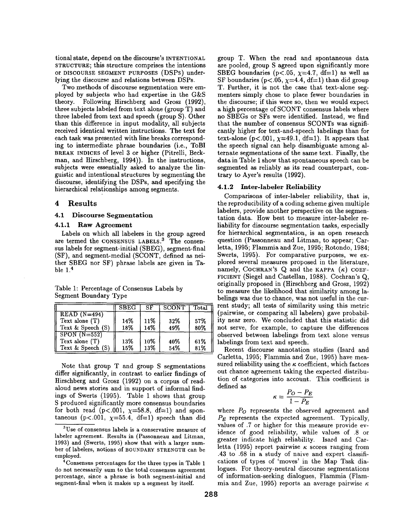tional state, depend on the discourse's INTENTIONAL STRUCTURE; this structure comprises the intentions or DISCOURSE SEGMENT PURPOSES (DSPs) underlying the discourse and relations between DSPs.

Two methods of discourse segmentation were employed by subjects who had expertise in the  $G&S$ theory. Following Hirschberg and Grosz (1992), three subjects labeled from text alone (group T) and three labeled from text and speech (group S). Other than this difference in input modality, all subjects received identical written instructions. The text for each task was presented with line breaks corresponding to intermediate phrase boundaries (i.e., ToBI BREAK INDICES of level 3 or higher (Pitrelli, Beckman, and Hirschberg, 1994)). In the instructions, subjects were essentially asked to analyze the linguistic and intentional structures by segmenting the discourse, identifying the DSPs, and specifying the hierarchical relationships among segments.

### **4 Results**

#### 4.1 Discourse Segmentation

### 4.1.1 Raw Agreement

Labels on which all labelers in the group agreed are termed the CONSENSUS LABELS.<sup>3</sup> The consensus labels for segment-initial (SBEG), segment-final (SF), and segment-medial (SCONT, defined as neither SBEG nor SF) phrase labels are given in Table 1.<sup>4</sup>

Table 1: Percentage of Consensus Labels by Segment Boundary Type

|                   | <b>SBEG</b> | SF  | <b>SCONT</b> | $\text{Total}$ |
|-------------------|-------------|-----|--------------|----------------|
| $READ (N=494)$    |             |     |              |                |
| Text alone $(T)$  | 14%         | 11% | 32%          | 57%            |
| Text & Speech (S) | 18%         | 14% | 49%          | 80%            |
| $SPON(N=552)$     |             |     |              |                |
| Text alone (T)    | 13%         | 10% | 40%          | 61%            |
| Text & Speech (S) | 15%         | 13% | 54%          | 81%            |

Note that group T and group S segmentations differ significantly, in contrast to earlier findings of Hirschberg and Grosz (1992) on a corpus of readaloud news stories and in support of informal findings of Swerts (1995). Table 1 shows that group S produced significantly more consensus boundaries for both read (p<.001,  $\chi$ =58.8, df=1) and spontaneous ( $p < .001$ ,  $\chi = 55.4$ , df=1) speech than did

group T. When the read and spontaneous data are pooled, group S agreed upon significantly more SBEG boundaries ( $p < .05$ ,  $\chi = 4.7$ , df=1) as well as SF boundaries ( $p < .05$ ,  $\chi = 4.4$ , df=1) than did group T. Further, it is not the case that text-alone segmenters simply chose to place fewer boundaries in the discourse; if this were so, then we would expect a high percentage of SCONT consensus labels where no SBEGs or SFs were identified. Instead, we find that the number of consensus SCONTs was significantly higher for text-and-speech labelings than for text-alone ( $p<.001$ ,  $\chi=49.1$ , df=1). It appears that the speech signal can help disambiguate among alternate segmentations of the same text. Finally, the data in Table 1 show that spontaneous speech can be segmented as reliably as its read counterpart, contrary to Ayer's results (1992).

#### 4.1.2 Inter-labeler Reliability

Comparisons of inter-labeler reliability, that is, the reproducibility of a coding scheme given multiple labelers, provide another perspective on the segmentation data. How best to measure inter-labeler reliability for discourse segmentation tasks, especially for hierarchical segmentation, is an open research question (Passonneau and Litman, to appear; Carletta, 1995; Flammia and Zue, 1995; Rotondo, 1984; Swerts, 1995). For comparative purposes, we explored several measures proposed in the literature, namely, COCHRAN's Q and the KAPPA  $(\kappa)$  COEF-FICIENT (Siegel and Castellan, 1988). Cochran's Q, originally proposed in (Hirschberg and Grosz, 1992) to measure the likelihood that similarity among labelings was due to chance, was not useful in the current study; all tests of similarity using this metric (pairwise, or comparing all labelers) gave probability near zero. We concluded that this statistic did not serve, for example, to capture the differences observed between labelings from text alone versus labelings from text and speech.

Recent discourse annotation studies (Isard and Carletta, 1995; Flammia and Zue, 1995) have measured reliability using the  $\kappa$  coefficient, which factors out chance agreement taking the expected distribution of categories into account. This coefficient is defined as

$$
\kappa = \frac{P_O - P_E}{1 - P_E}
$$

where *Po* represents the observed agreement and *PE* represents the expected agreement. Typically, values of .7 or higher for this measure provide evidence of good reliability, while values of .8 or greater indicate high reliability. Isard and Carletta (1995) report pairwise  $\kappa$  scores ranging from .43 to .68 in a study of naive and expert classifications of types of 'moves' in the Map Task dialogues. For theory-neutral discourse segmentations of information-seeking dialogues, Flammia (Flammia and Zue, 1995) reports an average pairwise  $\kappa$ 

 $3$ Use of consensus labels is a conservative measure of labeler agreement. Results in (Passonneau and Litman, 1993) and (Swerts, 1995) show that with a larger number of labelers, notions of BOUNDARY STRENGTH can be employed.

<sup>4</sup>Consensus percentages for the three types in Table 1 do not necessarily sum to the total consensus agreement percentage, since a phrase is both segment-initial and segment-final when it makes up a segment by itself.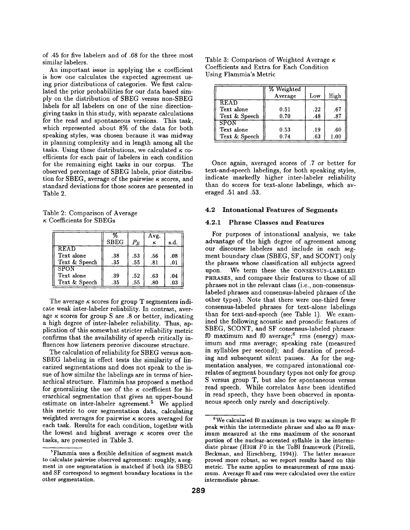of .45 for five labelers and of .68 for the three most similar labelers.

An important issue in applying the  $\kappa$  coefficient is how one calculates the expected agreement using prior distributions of categories. We first calculated the prior probabilities for our data based simply on the distribution of SBEG versus non-SBEG labels for all labelers on one of the nine directiongiving tasks in this study, with separate calculations for the read and spontaneous versions. This task, which represented about 8% of the data for both speaking styles, was chosen because it was midway in planning complexity and in length among all the tasks. Using these distributions, we calculated  $\kappa$  coefficients for each pair of labelers in each condition for the remaining eight tasks in our corpus. The observed percentage of SBEG labels, prior distribution for SBEG, average of the pairwise  $\kappa$  scores, and standard deviations for those scores are presented in Table 2.

Table 2: Comparison of Average  $\kappa$  Coefficients for SBEGs

|                                            | <b>SBEG</b> | $P_E$      | Avg.<br>κ  | s.d.       |
|--------------------------------------------|-------------|------------|------------|------------|
| <b>READ</b><br>Text alone<br>Text & Speech | .38<br>.35  | .53<br>.55 | .56<br>.81 | .08<br>.01 |
| SPON<br>Text alone<br>Text & Speech        | .39<br>.35  | .52<br>.55 | .63<br>.80 | .04<br>.03 |

The average  $\kappa$  scores for group T segmenters indicate weak inter-labeler reliability. In contrast, average  $\kappa$  scores for group S are .8 or better, indicating a high degree of inter-labeler reliability. Thus, application of this somewhat stricter reliability metric confirms that the availability of speech critically influences how listeners perceive discourse structure.

The calculation of reliability for SBEG versus non-SBEG labeling in effect tests the similarity of linearized segmentations and does not speak to the issue of how similar the labelings are in terms of hierarchical structure. Flammia has proposed a method for generalizing the use of the  $\kappa$  coefficient for hierarchical segmentation that gives an upper-bound estimate on inter-labeler agreement.<sup>5</sup> We applied this metric to our segmentation data, calculating weighted averages for pairwise  $\kappa$  scores averaged for each task. Results for each condition, together with the lowest and highest average  $\kappa$  scores over the tasks, are presented in Table 3.

| Table 3: Comparison of Weighted Average $\kappa$ |  |
|--------------------------------------------------|--|
| Coefficients and Extra for Each Condition        |  |
| Using Flammia's Metric                           |  |

|               | % Weighted<br>Average | Low | High |
|---------------|-----------------------|-----|------|
| <b>READ</b>   |                       |     |      |
| Text alone    | 0.51                  | .22 | .67  |
| Text & Speech | 0.70                  | .48 | .87  |
| SPON          |                       |     |      |
| Text alone    | 0.53                  | .19 | .60  |
| Text & Speech | 0.74                  | .63 | 1.00 |

Once again, averaged scores of .7 or better for text-and-speech labelings, for both speaking styles, indicate markedly higher inter-labeler reliability than do scores for text-alone labelings, which averaged .51 and .53.

#### **4.2 Intonational Features of Segments**

## **4.2.1 Phrase Classes and Features**

For purposes of intonational analysis, we take advantage of the high degree of agreement among our discourse labelers and include in each segment boundary class (SBEG, SF, and SCONT) only the phrases whose classification all subjects agreed upon. We term these the CONSENSUS-LABELED PHRASES, and compare their features to those of all phrases not in the relevant class (i.e., non-consensuslabeled phrases and consensus-labeled phrases of the other types). Note that there were one-third fewer consensus-labeled phrases for text-alone labelings than for text-and-speech (see Table 1). We examined the following acoustic and prosodic features of SBEG, SCONT, and SF consensus-labeled phrases: f0 maximum and f0 average; $6$  rms (energy) maximum and rms average; speaking rate (measured in syllables per second); and duration of preceding and subsequent silent pauses. As for the segmentation analyses, we compared intonational correlates of segment boundary types not only for group S versus group T, but also for spontaneous versus read speech. While correlates *have* been identified in read speech, they have been observed in spontaneous speech only rarely and descriptively.

<sup>5</sup>Flammia uses a flexible definition of segment match to calculate pairwise observed agreement: roughly, a segment in one segmentation is matched if both its SBEG and SF correspond to segment boundary locations in the other segmentation.

 $6$ We calculated f0 maximum in two ways: as simple f0 peak within the intermediate phrase and also as f0 maximum measured at the rms maximum of the sonorant portion of the nuclear-accented syllable in the intermediate phrase (HIGH F0 in the ToBI framework (Pitrelli, Beckman, and Hirschberg, 1994)). The latter measure proved more robust, so we report results based on this metric. The same applies to measurement of rms maximum. Average f0 and rms were calculated over the entire intermediate phrase.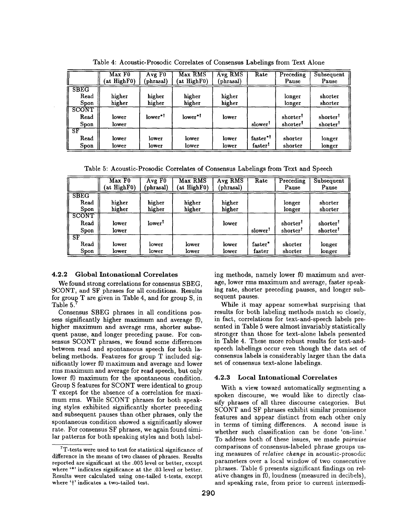|                              | Max F0<br>(at HighF0) | Avg F <sub>0</sub><br>phrasal) | Max RMS<br>(at HighF0) | Avg RMS<br>(phrasal) | Rate                                        | Preceding<br>Pause | Subsequent<br>Pause |
|------------------------------|-----------------------|--------------------------------|------------------------|----------------------|---------------------------------------------|--------------------|---------------------|
| <b>SBEG</b><br>Read<br>Spon  | higher<br>higher      | higher<br>higher               | higher<br>higher       | higher<br>higher     |                                             | longer<br>longer   | shorter<br>shorter  |
| <b>SCONT</b><br>Read<br>Spon | lower<br>lower        | $lower*1$                      | lower* <sup>1</sup>    | lower                | slower <sup>1</sup>                         | shorter<br>shorter | shorter<br>shorter  |
| I SF<br>Read<br>Spon         | lower<br>lower        | lower<br>lower                 | lower<br>lower         | lower<br>lower       | faster* <sup>1</sup><br>faster <sup>1</sup> | shorter<br>shorter | longer<br>longer    |

Table 4: Acoustic-Prosodic Correlates of Consensus Labelings from Text Alone

Table 5: Acoustic-Prosodic Correlates of Consensus Labelings from Text and Speech

|                       | Max F0<br>(at HighF0) | AvgF0<br>(phrasal) | Max RMS<br>(at HighF0) | Avg RMS<br>(phrasal) | Rate                | Preceding<br>Pause | Subsequent<br>Pause |
|-----------------------|-----------------------|--------------------|------------------------|----------------------|---------------------|--------------------|---------------------|
| <b>SBEG</b>           |                       |                    |                        |                      |                     |                    |                     |
| Read<br>Spon          | higher<br>higher      | higher<br>higher   | higher<br>higher       | higher<br>higher     |                     | longer<br>longer   | shorter<br>shorter  |
| SCONT<br>Read<br>Spon | lower<br>lower        | lower <sup>1</sup> |                        | lower                | slower <sup>1</sup> | shorter<br>shorter | shorter<br>shorter  |
| II SF<br>Read<br>Spon | lower<br>lower        | lower<br>lower     | lower<br>lower         | lower<br>lower       | faster*<br>faster   | shorter<br>shorter | longer<br>longer    |

#### 4.2.2 Global Intonational Correlates

We found strong correlations for consensus SBEG, SCONT, and SF phrases for all conditions. Results for group T are given in Table 4, and for group S, in Table 5.

Consensus SBEG phrases in all conditions possess significantly higher maximum and average f0, higher maximum and average rms, shorter subsequent pause, and longer preceding pause. For consensus SCONT phrases, we found some differences between read and spontaneous speech for both labeling methods. Features for group T included significantly lower f0 maximum and average and lower rms maximum and average for read speech, but only lower f0 maximum for the spontaneous condition. Group S features for SCONT were identical to group T except for the absence of a correlation for maximum rms. While SCONT phrases for both speaking styles exhibited significantly shorter preceding and subsequent pauses than other phrases, only the spontaneous condition showed a significantly slower rate. For consensus SF phrases, we again found similar patterns for both speaking styles and both label-

ing methods, namely lower f0 maximum and average, lower rms maximum and average, faster speaking rate, shorter preceding pauses, and longer subsequent pauses.

While it may appear somewhat surprising that results for both labeling methods match so closely, in fact, correlations for text-and-speech labels presented in Table 5 were almost invariably statistically stronger than those for text-alone labels presented in Table 4. These more robust results for text-andspeech labelings occur even though the data set of consensus labels is considerably larger than the data set of consensus text-alone labelings.

#### **4.2.3 Local Intonational Correlates**

With a view toward automatically segmenting a spoken discourse, we would like to directly classify phrases of all three discourse categories. But SCONT and SF phrases exhibit similar prominence features and appear distinct from each other only in terms of timing differences. A second issue is whether such classification can be done 'on-line.' To address both of these issues, we made *pairwise*  comparisons of consensus-labeled phrase groups using measures of *relative change* in acoustic-prosodic parameters over a local window of two consecutive phrases. Table 6 presents significant findings on relative changes in f0, loudness (measured in decibels), and speaking rate, from prior to current intermedi-

<sup>7</sup>T-tests were used to test for statistical significance of difference in the means of two classes of phrases. Results reported are significant at the .005 level or better, except where '\*' indicates significance at the .03 level or better. Results were calculated using one-tailed t-tests, except where 't' indicates a two-tailed test.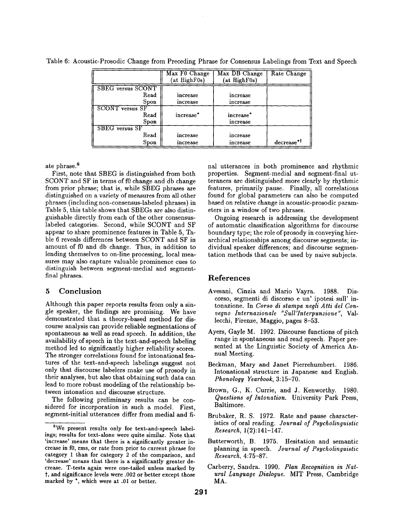Table 6: Acoustic-Prosodic Change from Preceding Phrase for Consensus Labelings from Text and Speech

|                          | Max F0 Change         | Max DB Change         | Rate Change            |
|--------------------------|-----------------------|-----------------------|------------------------|
|                          | (at HighF0s)          | (at HighF0s)          |                        |
| <b>SBEG</b> versus SCONT |                       |                       |                        |
| Read                     | increase              | increase              |                        |
| Spon                     | increase              | increase              |                        |
| <b>SCONT</b> versus SF   |                       |                       |                        |
| Read                     | increase <sup>*</sup> | increase <sup>*</sup> |                        |
| Spon                     |                       | increase              |                        |
| <b>SBEG</b> versus SF    |                       |                       |                        |
| Read                     | increase              | increase              |                        |
| Spon                     | increase              | increase              | decrease* <sup>1</sup> |

ate phrase.<sup>8</sup>

First, note that SBEG is distinguished from both SCONT and SF in terms of f0 change and db change from prior phrase; that is, while SBEG phrases are distinguished on a variety of measures from all other phrases (including non-consensus-labeled phrases) in Table 5, this table shows that SBEGs are also distinguishable directly from each of the other consensuslabeled categories. Second, while SCONT and SF appear to share prominence features in Table 5, Table 6 reveals differences between SCONT and SF in amount of f0 and db change. Thus, in addition to lending themselves to on-line processing, local measures may also capture valuable prominence cues to distinguish between segment-medial and segmentfinal phrases.

# 5 Conclusion

Although this paper reports results from only a single speaker, the findings are promising. We have demonstrated that a theory-based method for discourse analysis can provide reliable segmentations of spontaneous as well as read speech. In addition, the availability of speech in the text-and-speech labeling method led to significantly higher reliability scores. The stronger correlations found for intonational features of the text-and-speech labelings suggest not only that discourse labelers make use of prosody in their analyses, but also that obtaining such data can lead to more robust modeling of the relationship between intonation and discourse structure.

The following preliminary results can be considered for incorporation in such a model. First, segment-initial utterances differ from medial and final utterances in both prominence and rhythmic properties. Segment-medial and segment-final utterances are distinguished more clearly by rhythmic features, primarily pause. Finally, all correlations found for global parameters can also be computed based on relative change in acoustic-prosodic parameters in a window of two phrases.

Ongoing research is addressing the development of automatic classification algorithms for discourse boundary type; the role of prosody in conveying hierarchical relationships among discourse segments; individual speaker differences; and discourse segmentation methods that can be used by naive subjects.

### References

- Avesani, Cinzia and Mario Vayra. 1988. Discorso, segmenti di discorso e un' ipotesi sull' intonazione. In *Corso eli stampa negli Atti del Convegno Inlernazionale "Sull'Interpunzione',* Vallecchi, Firenze, Maggio, pages 8-53.
- Ayers, Gayle M. 1992. Discourse functions of pitch range in spontaneous and read speech. Paper presented at the Linguistic Society of America Annual Meeting.
- Beckman, Mary and Janet Pierrehumbert. 1986. Intonational structure in Japanese and English. *Phonology Yearbook,* 3:15-70.
- Brown, G., K. Currie, and J. Kenworthy. 1980. *Questions of Intonation.* University Park Press, Baltimore.
- Brubaker, R. S. 1972. Rate and pause characteristics of oral reading. *Journal of Psycholinguistic Research,* 1(2):141-147.
- Butterworth, B. 1975. Hesitation and semantic planning in speech. *Journal of Psycholinguistic Research,* 4:75-87.
- Carberry, Sandra. 1990. *Plan Recognition in Natural Language Dialogue.* MIT Press, Cambridge MA.

<sup>8</sup>We present results only for text-and-speech labelings; results for text-alone were quite similar. Note that 'increase' means that there is a significantly greater increase in f0, rms, or rate from prior to current phrase for category 1 than for category 2 of the comparison, and 'decrease' means that there is a significantly greater decrease. T-tests again were one-tailed unless marked by t, and significance levels were .002 or better except those marked by \*, which were at .01 or better.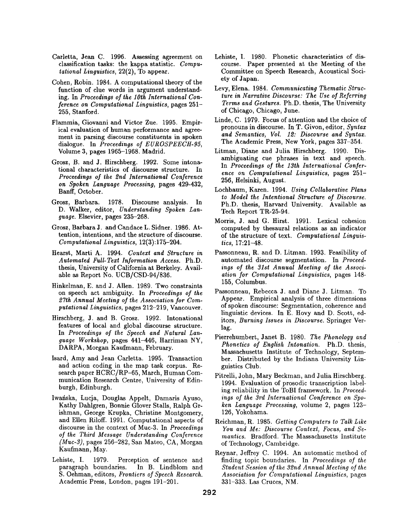- Carletta, Jean C. 1996. Assessing agreement on classification tasks: the kappa statistic. *Computational Linguistics,* 22(2), To appear.
- Cohen, Robin. 1984. A computational theory of the function of clue words in argument understanding. In *Proceedings of the lOth International Conference on Computational Linguistics,* pages 251- 255, Stanford.
- Flammia, Giovanni and Victor Zue. 1995. Empirical evaluation of human performance and agreement in parsing discourse constituents in spoken dialogue. In *Proceedings of EUROSPEECH-95,*  Volume 3, pages 1965-1968. Madrid.
- Grosz, B. and J. Hirschberg. 1992. Some intonational characteristics of discourse structure. In *Proceedings of the 2nd International Conference on Spoken Language Processing,* pages 429-432, Banff, October.
- Grosz, Barbara. 1978. Discourse analysis. In D. Walker, editor, *Understanding Spoken Language.* Elsevier, pages 235-268.
- Grosz, Barbara J. and Candace L. Sidner. 1986. Attention, intentions, and the structure of discourse. *Computational Linguistics,* 12(3):175-204.
- Hearst, Marti A. 1994. *Context and Structure in Automated Full-Text Information Access.* Ph.D. thesis, University of California at Berkeley. Available as Report No. UCB/CSD-94/836.
- Hinkelman, E. and J. Allen. 1989. Two constraints on speech act ambiguity. In *Proceedings of the 27th Annual Meeting of the Association for Computational Linguistics,* pages 212-219, Vancouver.
- Hirschberg, J. and B. Grosz. 1992. Intonational features of local and global discourse structure. In *Proceedings of the Speech and Natural Language Workshop,* pages 441-446, Harriman NY, DARPA, Morgan Kaufmann, February.
- Isard, Amy and Jean Carletta. 1995. Transaction and action coding in the map task corpus. Research paper HCRC/RP-65, March, Human Communication Research Centre, University of Edinburgh, Edinburgh.
- Iwafiska, Lucia, Douglas Appelt, Damaris Ayuso, Kathy Dahlgren, Bonnie Glover Stalls, Ralph Grishman, George Krupka, Christine Montgomery, and Ellen Riloff. 1991. Computational aspects of discourse in the context of Muc-3. In *Proceedings of the Third Message Understanding Conference (Mac-3),* pages 256-282, San Mateo, CA, Morgan Kaufmann, May.
- Lehiste, I. 1979. Perception of sentence and paragraph boundaries. In B. Lindblom and paragraph boundaries. S. Oehman, editors, *Frontiers of Speech Research.*  Academic Press, London, pages 191-201.
- Lehiste, I. 1980. Phonetic characteristics of discourse. Paper presented at the Meeting of the Committee on Speech Research, Acoustical Society of Japan.
- Levy, Elena. 1984. *Communicating Thematic Structure in Narrative Discourse: The Use of Referring Terms and Gestures.* Ph.D. thesis, The University of Chicago, Chicago, June.
- Linde, C. 1979. Focus of attention and the choice of pronouns in discourse. In T. Givon, editor, *Syntax and Semantics, Vol. 12: Discourse and Syntax.*  The Academic Press, New York, pages 337-354.
- Litman, Diane and Julia Hirschberg. 1990. Disambiguating cue phrases in text and speech. In *Proceedings of the 13th International Conference on Computational Linguistics,* pages 251- 256, Helsinki, August.
- Lochbaum, Karen. 1994. *Using Collaborative Plans to Model the Intentional Structure of Discourse.*  Ph.D. thesis, Harvard University. Available as Tech Report TR-25-94.
- Morris, J. and G. Hirst. 1991. Lexical cohesion computed by thesaural relations as an indicator of the structure of text. *Computational Linguistics,* 17:21-48.
- Passonneau, R. and D. Litman. 1993. Feasibility of automated discourse segmentation. In *Proceedings of the 31st Annual Meeting of the Association for Computational Linguistics,* pages 148- 155, Columbus.
- Passonneau, Rebecca J. and Diane J. Litman. To Appear. Empirical analysis of three dimensions of spoken discourse: Segmentation, coherence and linguistic devices. In E. Hovy and D. Scott, editors, *Burning Issues in Discourse.* Springer Vetlag.
- Pierrehumbert, Janet B. 1980. *The Phonology and Phonetics of English Intonation.* Ph.D. thesis, Massachusetts Institute of Technology, September. Distributed by the Indiana University Linguistics Club.
- Pitrelli, John, Mary Beckman, and Julia Hirschberg. 1994. Evaluation of prosodic transcription labeling reliability in the ToBI framework. In *Proceedings of the 3rd International Conference on Spoken Language Processing,* volume 2, pages 123- 126, Yokohama.
- Reichman, R. 1985. *Getting Computers to Talk Like You and Me: Discourse Context, Focus, and Semantics.* Bradford. The Massachusetts Institute of Technology, Cambridge.
- Reynar, Jeffrey C. 1994. An automatic method of finding topic boundaries. In *Proceedings of the Student Session of the 32nd Annual Meeting of the Association for Computational Linguistics,* pages 331-333. Las Cruces, NM.